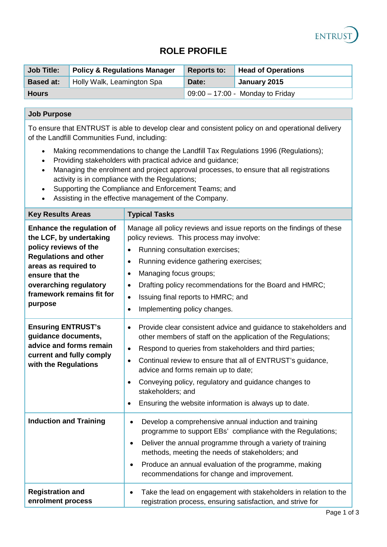

# **ROLE PROFILE**

| <b>Job Title:</b> | <b>Policy &amp; Regulations Manager</b> | <b>Reports to:</b> | <b>Head of Operations</b>          |
|-------------------|-----------------------------------------|--------------------|------------------------------------|
| <b>Based at:</b>  | Holly Walk, Leamington Spa              | Date:              | January 2015                       |
| <b>Hours</b>      |                                         |                    | $09:00 - 17:00$ - Monday to Friday |

# **Job Purpose**

To ensure that ENTRUST is able to develop clear and consistent policy on and operational delivery of the Landfill Communities Fund, including:

- Making recommendations to change the Landfill Tax Regulations 1996 (Regulations);
- Providing stakeholders with practical advice and guidance;
- Managing the enrolment and project approval processes, to ensure that all registrations activity is in compliance with the Regulations;
- Supporting the Compliance and Enforcement Teams; and
- Assisting in the effective management of the Company.

| <b>Key Results Areas</b>                                                                                                                                                                                                          | <b>Typical Tasks</b>                                                                                                                                                                                                                                                                                                                                                                                                                                                                                      |
|-----------------------------------------------------------------------------------------------------------------------------------------------------------------------------------------------------------------------------------|-----------------------------------------------------------------------------------------------------------------------------------------------------------------------------------------------------------------------------------------------------------------------------------------------------------------------------------------------------------------------------------------------------------------------------------------------------------------------------------------------------------|
| <b>Enhance the regulation of</b><br>the LCF, by undertaking<br>policy reviews of the<br><b>Regulations and other</b><br>areas as required to<br>ensure that the<br>overarching regulatory<br>framework remains fit for<br>purpose | Manage all policy reviews and issue reports on the findings of these<br>policy reviews. This process may involve:<br>Running consultation exercises;<br>$\bullet$<br>Running evidence gathering exercises;<br>$\bullet$<br>Managing focus groups;<br>$\bullet$<br>Drafting policy recommendations for the Board and HMRC;<br>$\bullet$<br>Issuing final reports to HMRC; and<br>$\bullet$<br>Implementing policy changes.<br>$\bullet$                                                                    |
| <b>Ensuring ENTRUST's</b><br>guidance documents,<br>advice and forms remain<br>current and fully comply<br>with the Regulations                                                                                                   | Provide clear consistent advice and guidance to stakeholders and<br>$\bullet$<br>other members of staff on the application of the Regulations;<br>Respond to queries from stakeholders and third parties;<br>$\bullet$<br>Continual review to ensure that all of ENTRUST's guidance,<br>$\bullet$<br>advice and forms remain up to date;<br>Conveying policy, regulatory and guidance changes to<br>$\bullet$<br>stakeholders; and<br>Ensuring the website information is always up to date.<br>$\bullet$ |
| <b>Induction and Training</b>                                                                                                                                                                                                     | Develop a comprehensive annual induction and training<br>$\bullet$<br>programme to support EBs' compliance with the Regulations;<br>Deliver the annual programme through a variety of training<br>$\bullet$<br>methods, meeting the needs of stakeholders; and<br>Produce an annual evaluation of the programme, making<br>$\bullet$<br>recommendations for change and improvement.                                                                                                                       |
| <b>Registration and</b><br>enrolment process                                                                                                                                                                                      | Take the lead on engagement with stakeholders in relation to the<br>$\bullet$<br>registration process, ensuring satisfaction, and strive for                                                                                                                                                                                                                                                                                                                                                              |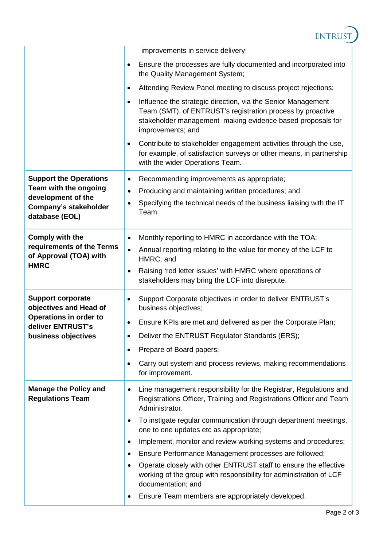

|                                                                    | improvements in service delivery;                                                                                                                                                                                          |
|--------------------------------------------------------------------|----------------------------------------------------------------------------------------------------------------------------------------------------------------------------------------------------------------------------|
|                                                                    | Ensure the processes are fully documented and incorporated into<br>$\bullet$<br>the Quality Management System;                                                                                                             |
|                                                                    | Attending Review Panel meeting to discuss project rejections;<br>$\bullet$                                                                                                                                                 |
|                                                                    | Influence the strategic direction, via the Senior Management<br>$\bullet$<br>Team (SMT), of ENTRUST's registration process by proactive<br>stakeholder management making evidence based proposals for<br>improvements; and |
|                                                                    | Contribute to stakeholder engagement activities through the use,<br>$\bullet$<br>for example, of satisfaction surveys or other means, in partnership<br>with the wider Operations Team.                                    |
| <b>Support the Operations</b>                                      | Recommending improvements as appropriate;<br>$\bullet$                                                                                                                                                                     |
| Team with the ongoing<br>development of the                        | Producing and maintaining written procedures; and<br>$\bullet$                                                                                                                                                             |
| <b>Company's stakeholder</b><br>database (EOL)                     | Specifying the technical needs of the business liaising with the IT<br>$\bullet$<br>Team.                                                                                                                                  |
| <b>Comply with the</b>                                             | Monthly reporting to HMRC in accordance with the TOA;<br>$\bullet$                                                                                                                                                         |
| requirements of the Terms<br>of Approval (TOA) with<br><b>HMRC</b> | Annual reporting relating to the value for money of the LCF to<br>$\bullet$<br>HMRC; and                                                                                                                                   |
|                                                                    | Raising 'red letter issues' with HMRC where operations of<br>$\bullet$<br>stakeholders may bring the LCF into disrepute.                                                                                                   |
| <b>Support corporate</b><br>objectives and Head of                 | Support Corporate objectives in order to deliver ENTRUST's<br>٠<br>business objectives;                                                                                                                                    |
| <b>Operations in order to</b><br>deliver ENTRUST's                 | Ensure KPIs are met and delivered as per the Corporate Plan;<br>٠                                                                                                                                                          |
| business objectives                                                | Deliver the ENTRUST Regulator Standards (ERS);                                                                                                                                                                             |
|                                                                    | Prepare of Board papers;<br>$\bullet$                                                                                                                                                                                      |
|                                                                    | Carry out system and process reviews, making recommendations<br>$\bullet$<br>for improvement.                                                                                                                              |
| <b>Manage the Policy and</b><br><b>Regulations Team</b>            | Line management responsibility for the Registrar, Regulations and<br>$\bullet$<br>Registrations Officer, Training and Registrations Officer and Team<br>Administrator.                                                     |
|                                                                    | To instigate regular communication through department meetings,<br>$\bullet$<br>one to one updates etc as appropriate;                                                                                                     |
|                                                                    | Implement, monitor and review working systems and procedures;<br>$\bullet$                                                                                                                                                 |
|                                                                    | Ensure Performance Management processes are followed;<br>٠                                                                                                                                                                 |
|                                                                    | Operate closely with other ENTRUST staff to ensure the effective<br>٠<br>working of the group with responsibility for administration of LCF<br>documentation; and                                                          |
|                                                                    | Ensure Team members are appropriately developed.<br>٠                                                                                                                                                                      |
|                                                                    |                                                                                                                                                                                                                            |